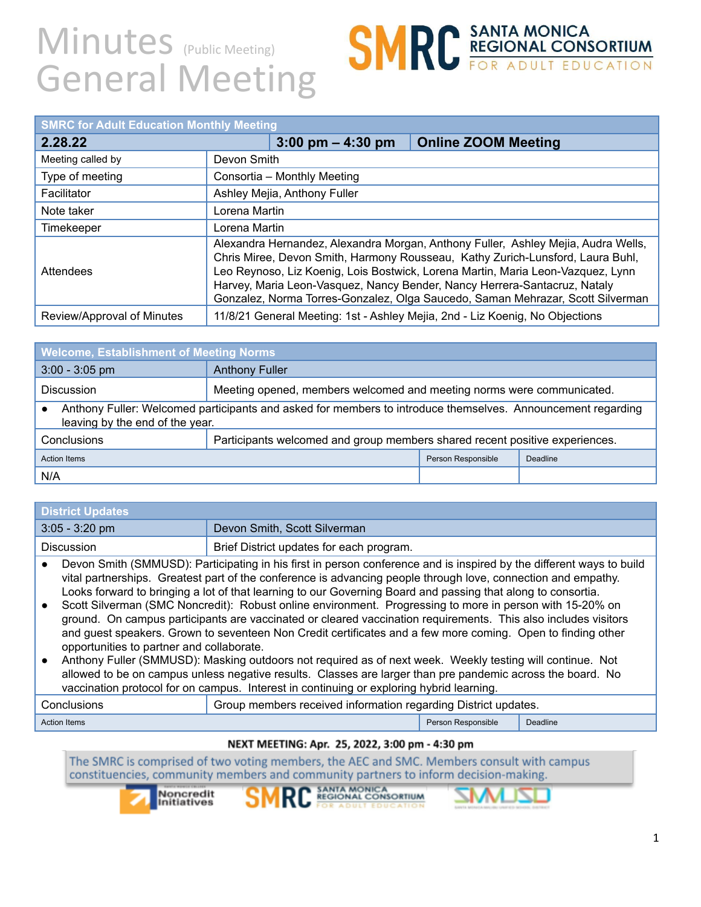### Minutes (Public Meeting) General Meeting

# **SMRC** SANTA MONICA

| <b>SMRC for Adult Education Monthly Meeting</b> |                                                                                                                                                                                                                                                                                                                                                                                                                       |                                     |                                                                              |  |
|-------------------------------------------------|-----------------------------------------------------------------------------------------------------------------------------------------------------------------------------------------------------------------------------------------------------------------------------------------------------------------------------------------------------------------------------------------------------------------------|-------------------------------------|------------------------------------------------------------------------------|--|
| 2.28.22                                         |                                                                                                                                                                                                                                                                                                                                                                                                                       | $3:00 \text{ pm} - 4:30 \text{ pm}$ | <b>Online ZOOM Meeting</b>                                                   |  |
| Meeting called by                               | Devon Smith                                                                                                                                                                                                                                                                                                                                                                                                           |                                     |                                                                              |  |
| Type of meeting                                 | Consortia - Monthly Meeting                                                                                                                                                                                                                                                                                                                                                                                           |                                     |                                                                              |  |
| Facilitator                                     | Ashley Mejia, Anthony Fuller                                                                                                                                                                                                                                                                                                                                                                                          |                                     |                                                                              |  |
| Note taker                                      | Lorena Martin                                                                                                                                                                                                                                                                                                                                                                                                         |                                     |                                                                              |  |
| Timekeeper                                      | Lorena Martin                                                                                                                                                                                                                                                                                                                                                                                                         |                                     |                                                                              |  |
| Attendees                                       | Alexandra Hernandez, Alexandra Morgan, Anthony Fuller, Ashley Mejia, Audra Wells,<br>Chris Miree, Devon Smith, Harmony Rousseau, Kathy Zurich-Lunsford, Laura Buhl,<br>Leo Reynoso, Liz Koenig, Lois Bostwick, Lorena Martin, Maria Leon-Vazquez, Lynn<br>Harvey, Maria Leon-Vasquez, Nancy Bender, Nancy Herrera-Santacruz, Nataly<br>Gonzalez, Norma Torres-Gonzalez, Olga Saucedo, Saman Mehrazar, Scott Silverman |                                     |                                                                              |  |
| Review/Approval of Minutes                      |                                                                                                                                                                                                                                                                                                                                                                                                                       |                                     | 11/8/21 General Meeting: 1st - Ashley Mejia, 2nd - Liz Koenig, No Objections |  |

| <b>Welcome, Establishment of Meeting Norms</b>                                                                                                 |                                                                             |                    |          |
|------------------------------------------------------------------------------------------------------------------------------------------------|-----------------------------------------------------------------------------|--------------------|----------|
| $3:00 - 3:05$ pm                                                                                                                               | <b>Anthony Fuller</b>                                                       |                    |          |
| <b>Discussion</b>                                                                                                                              | Meeting opened, members welcomed and meeting norms were communicated.       |                    |          |
| Anthony Fuller: Welcomed participants and asked for members to introduce themselves. Announcement regarding<br>leaving by the end of the year. |                                                                             |                    |          |
| Conclusions                                                                                                                                    | Participants welcomed and group members shared recent positive experiences. |                    |          |
| <b>Action Items</b>                                                                                                                            |                                                                             | Person Responsible | Deadline |
| N/A                                                                                                                                            |                                                                             |                    |          |

| <b>District Updates</b>                                                                                                                                                                                                                                                                                                                                                                                                                                                                                                                                                                                                                                                                                                                                                                                                                                                                                                                                                                                                                                                |                                                                |                    |          |
|------------------------------------------------------------------------------------------------------------------------------------------------------------------------------------------------------------------------------------------------------------------------------------------------------------------------------------------------------------------------------------------------------------------------------------------------------------------------------------------------------------------------------------------------------------------------------------------------------------------------------------------------------------------------------------------------------------------------------------------------------------------------------------------------------------------------------------------------------------------------------------------------------------------------------------------------------------------------------------------------------------------------------------------------------------------------|----------------------------------------------------------------|--------------------|----------|
| $3:05 - 3:20$ pm                                                                                                                                                                                                                                                                                                                                                                                                                                                                                                                                                                                                                                                                                                                                                                                                                                                                                                                                                                                                                                                       | Devon Smith, Scott Silverman                                   |                    |          |
| <b>Discussion</b>                                                                                                                                                                                                                                                                                                                                                                                                                                                                                                                                                                                                                                                                                                                                                                                                                                                                                                                                                                                                                                                      | Brief District updates for each program.                       |                    |          |
| Devon Smith (SMMUSD): Participating in his first in person conference and is inspired by the different ways to build<br>vital partnerships. Greatest part of the conference is advancing people through love, connection and empathy.<br>Looks forward to bringing a lot of that learning to our Governing Board and passing that along to consortia.<br>Scott Silverman (SMC Noncredit): Robust online environment. Progressing to more in person with 15-20% on<br>ground. On campus participants are vaccinated or cleared vaccination requirements. This also includes visitors<br>and guest speakers. Grown to seventeen Non Credit certificates and a few more coming. Open to finding other<br>opportunities to partner and collaborate.<br>Anthony Fuller (SMMUSD): Masking outdoors not required as of next week. Weekly testing will continue. Not<br>allowed to be on campus unless negative results. Classes are larger than pre pandemic across the board. No<br>vaccination protocol for on campus. Interest in continuing or exploring hybrid learning. |                                                                |                    |          |
| Conclusions                                                                                                                                                                                                                                                                                                                                                                                                                                                                                                                                                                                                                                                                                                                                                                                                                                                                                                                                                                                                                                                            | Group members received information regarding District updates. |                    |          |
| <b>Action Items</b>                                                                                                                                                                                                                                                                                                                                                                                                                                                                                                                                                                                                                                                                                                                                                                                                                                                                                                                                                                                                                                                    |                                                                | Person Responsible | Deadline |
| NEXT MEETING: Apr. 25, 2022, 3:00 pm - 4:30 pm                                                                                                                                                                                                                                                                                                                                                                                                                                                                                                                                                                                                                                                                                                                                                                                                                                                                                                                                                                                                                         |                                                                |                    |          |
| The SMRC is comprised of two voting members, the AEC and SMC. Members consult with campus                                                                                                                                                                                                                                                                                                                                                                                                                                                                                                                                                                                                                                                                                                                                                                                                                                                                                                                                                                              |                                                                |                    |          |

constituencies, community members and community partners to inform decision-making.





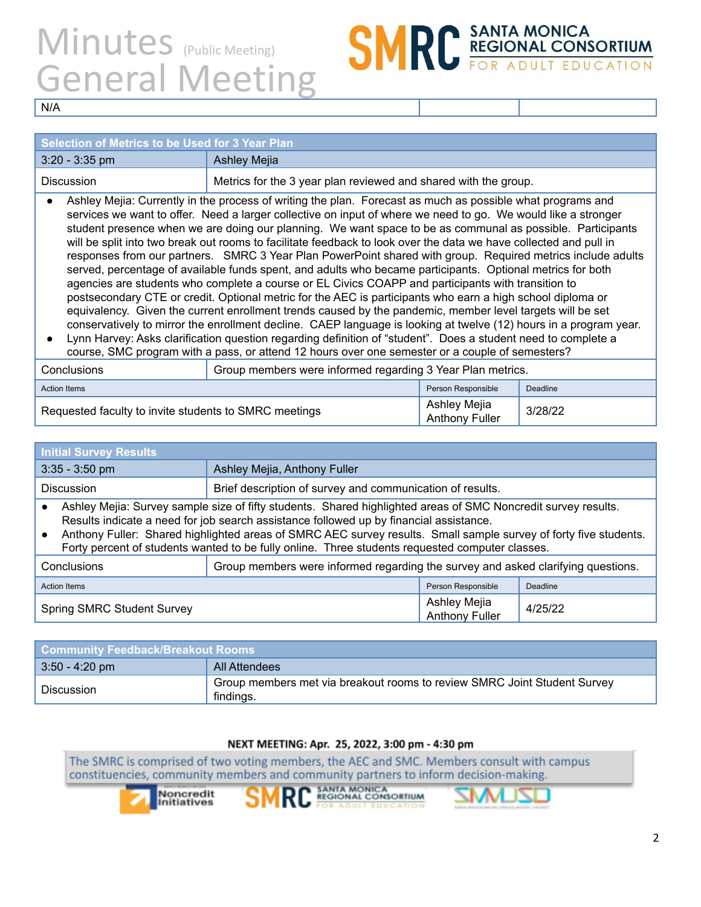### Minutes (Public Meeting) General Meeting N/A

Requested faculty to invite students to SMRC meetings

## **SMRC** SANTA MONICA

Anthony Fuller

3/28/22

#### **Selection of Metrics to be Used for 3 Year Plan** 3:20 - 3:35 pm Ashley Mejia Discussion Metrics for the 3 year plan reviewed and shared with the group. • Ashley Mejia: Currently in the process of writing the plan. Forecast as much as possible what programs and services we want to offer. Need a larger collective on input of where we need to go. We would like a stronger student presence when we are doing our planning. We want space to be as communal as possible. Participants will be split into two break out rooms to facilitate feedback to look over the data we have collected and pull in responses from our partners. SMRC 3 Year Plan PowerPoint shared with group. Required metrics include adults served, percentage of available funds spent, and adults who became participants. Optional metrics for both agencies are students who complete a course or EL Civics COAPP and participants with transition to postsecondary CTE or credit. Optional metric for the AEC is participants who earn a high school diploma or equivalency. Given the current enrollment trends caused by the pandemic, member level targets will be set conservatively to mirror the enrollment decline. CAEP language is looking at twelve (12) hours in a program year. Lynn Harvey: Asks clarification question regarding definition of "student". Does a student need to complete a course, SMC program with a pass, or attend 12 hours over one semester or a couple of semesters? Conclusions Group members were informed regarding 3 Year Plan metrics. Action Items Person Responsible Deadline Ashley Mejia

#### **Initial Survey Results** 3:35 - 3:50 pm Ashley Mejia, Anthony Fuller Discussion **Brief description of survey and communication of results. ●** Ashley Mejia: Survey sample size of fifty students. Shared highlighted areas of SMC Noncredit survey results. Results indicate a need for job search assistance followed up by financial assistance. ● Anthony Fuller: Shared highlighted areas of SMRC AEC survey results. Small sample survey of forty five students. Forty percent of students wanted to be fully online. Three students requested computer classes. Conclusions Group members were informed regarding the survey and asked clarifying questions. Action Items Person Responsible Deadline Deadline Deadline Deadline Deadline Deadline Spring SMRC Student Survey Ashley Mejia Anthony Fuller 4/25/22

| ↑ Community Feedback/Breakout Rooms |                                                                                       |  |  |
|-------------------------------------|---------------------------------------------------------------------------------------|--|--|
| $3:50 - 4:20$ pm                    | All Attendees                                                                         |  |  |
| Discussion                          | Group members met via breakout rooms to review SMRC Joint Student Survey<br>findings. |  |  |

#### NEXT MEETING: Apr. 25, 2022, 3:00 pm - 4:30 pm

The SMRC is comprised of two voting members, the AEC and SMC. Members consult with campus constituencies, community members and community partners to inform decision-making.